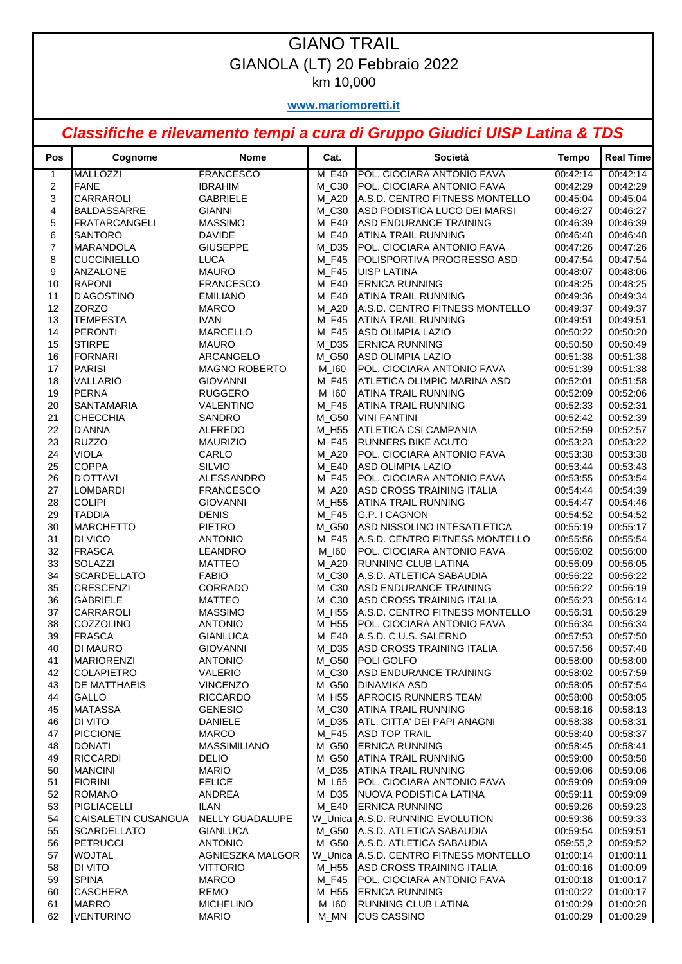## GIANO TRAIL GIANOLA (LT) 20 Febbraio 2022 km 10,000

**www.mariomoretti.it**

## *Classifiche e rilevamento tempi a cura di Gruppo Giudici UISP Latina & TDS*

| Pos                 | Cognome                                          | <b>Nome</b>                    | Cat.           | Società                                                      | <b>Tempo</b>         | <b>Real Time</b>     |
|---------------------|--------------------------------------------------|--------------------------------|----------------|--------------------------------------------------------------|----------------------|----------------------|
| $\mathbf{1}$        | <b>MALLOZZI</b>                                  | <b>FRANCESCO</b>               | M E40          | POL. CIOCIARA ANTONIO FAVA                                   | 00:42:14             | 00:42:14             |
| $\boldsymbol{2}$    | <b>FANE</b>                                      | <b>IBRAHIM</b>                 | M_C30          | POL. CIOCIARA ANTONIO FAVA                                   | 00:42:29             | 00:42:29             |
| 3                   | CARRAROLI                                        | <b>GABRIELE</b>                | <b>M_A20</b>   | A.S.D. CENTRO FITNESS MONTELLO                               | 00:45:04             | 00:45:04             |
| 4                   | <b>BALDASSARRE</b>                               | <b>GIANNI</b>                  | M_C30          | ASD PODISTICA LUCO DEI MARSI                                 | 00:46:27             | 00:46:27             |
| 5                   | <b>FRATARCANGELI</b>                             | <b>MASSIMO</b>                 | M_E40          | <b>ASD ENDURANCE TRAINING</b>                                | 00:46:39             | 00:46:39             |
| 6                   | <b>SANTORO</b>                                   | <b>DAVIDE</b>                  | M E40          | <b>ATINA TRAIL RUNNING</b>                                   | 00:46:48             | 00:46:48             |
| $\overline{7}$<br>8 | <b>MARANDOLA</b><br><b>CUCCINIELLO</b>           | <b>GIUSEPPE</b><br><b>LUCA</b> | M_D35<br>M_F45 | POL. CIOCIARA ANTONIO FAVA<br>POLISPORTIVA PROGRESSO ASD     | 00:47:26<br>00:47:54 | 00:47:26<br>00:47:54 |
| 9                   | <b>ANZALONE</b>                                  | <b>MAURO</b>                   | M_F45          | <b>UISP LATINA</b>                                           | 00:48:07             | 00:48:06             |
| 10                  | <b>RAPONI</b>                                    | <b>FRANCESCO</b>               | M_E40          | <b>ERNICA RUNNING</b>                                        | 00:48:25             | 00:48:25             |
| 11                  | D'AGOSTINO                                       | <b>EMILIANO</b>                | M_E40          | ATINA TRAIL RUNNING                                          | 00:49:36             | 00:49:34             |
| 12                  | <b>ZORZO</b>                                     | <b>MARCO</b>                   | M A20          | <b>A.S.D. CENTRO FITNESS MONTELLO</b>                        | 00:49:37             | 00:49:37             |
| 13                  | <b>TEMPESTA</b>                                  | <b>IVAN</b>                    | M_F45          | <b>ATINA TRAIL RUNNING</b>                                   | 00:49:51             | 00:49:51             |
| 14                  | <b>PERONTI</b>                                   | <b>MARCELLO</b>                | M_F45          | ASD OLIMPIA LAZIO                                            | 00:50:22             | 00:50:20             |
| 15                  | <b>STIRPE</b>                                    | <b>MAURO</b>                   | M D35          | <b>ERNICA RUNNING</b>                                        | 00:50:50             | 00:50:49             |
| 16                  | <b>FORNARI</b>                                   | ARCANGELO                      | M_G50          | ASD OLIMPIA LAZIO                                            | 00:51:38             | 00:51:38             |
| 17                  | <b>PARISI</b>                                    | <b>MAGNO ROBERTO</b>           | M_I60          | POL. CIOCIARA ANTONIO FAVA                                   | 00:51:39             | 00:51:38             |
| 18                  | <b>VALLARIO</b>                                  | <b>GIOVANNI</b>                | M_F45          | ATLETICA OLIMPIC MARINA ASD                                  | 00:52:01             | 00:51:58             |
| 19                  | <b>PERNA</b>                                     | <b>RUGGERO</b>                 | M_I60          | <b>ATINA TRAIL RUNNING</b>                                   | 00:52:09             | 00:52:06             |
| 20                  | <b>SANTAMARIA</b>                                | VALENTINO                      | M_F45          | ATINA TRAIL RUNNING                                          | 00:52:33             | 00:52:31             |
| 21                  | <b>CHECCHIA</b>                                  | <b>SANDRO</b>                  | M_G50          | <b>VINI FANTINI</b>                                          | 00:52:42             | 00:52:39             |
| 22                  | <b>D'ANNA</b>                                    | <b>ALFREDO</b>                 | M_H55          | ATLETICA CSI CAMPANIA                                        | 00:52:59             | 00:52:57             |
| 23                  | <b>RUZZO</b>                                     | <b>MAURIZIO</b>                | M_F45          | <b>RUNNERS BIKE ACUTO</b>                                    | 00:53:23             | 00:53:22             |
| 24                  | <b>VIOLA</b>                                     | CARLO                          | <b>M_A20</b>   | POL. CIOCIARA ANTONIO FAVA                                   | 00:53:38             | 00:53:38             |
| 25                  | <b>COPPA</b>                                     | <b>SILVIO</b>                  | M_E40          | <b>ASD OLIMPIA LAZIO</b>                                     | 00:53:44             | 00:53:43             |
| 26                  | <b>D'OTTAVI</b>                                  | ALESSANDRO                     | M_F45          | POL. CIOCIARA ANTONIO FAVA                                   | 00:53:55             | 00:53:54             |
| 27                  | <b>LOMBARDI</b>                                  | <b>FRANCESCO</b>               | M_A20          | ASD CROSS TRAINING ITALIA                                    | 00:54:44             | 00:54:39             |
| 28                  | <b>COLIPI</b>                                    | <b>GIOVANNI</b>                | M_H55          | <b>ATINA TRAIL RUNNING</b>                                   | 00:54:47             | 00:54:46             |
| 29                  | <b>TADDIA</b>                                    | <b>DENIS</b>                   | M_F45          | G.P. I CAGNON                                                | 00:54:52             | 00:54:52             |
| 30                  | <b>MARCHETTO</b><br>DI VICO                      | <b>PIETRO</b>                  | M_G50          | ASD NISSOLINO INTESATLETICA                                  | 00:55:19             | 00:55:17             |
| 31<br>32            | <b>FRASCA</b>                                    | <b>ANTONIO</b><br>LEANDRO      | M_F45<br>M_I60 | A.S.D. CENTRO FITNESS MONTELLO<br>POL. CIOCIARA ANTONIO FAVA | 00:55:56<br>00:56:02 | 00:55:54<br>00:56:00 |
| 33                  | <b>SOLAZZI</b>                                   | <b>MATTEO</b>                  | M_A20          | RUNNING CLUB LATINA                                          | 00:56:09             | 00:56:05             |
| 34                  | <b>SCARDELLATO</b>                               | <b>FABIO</b>                   | M_C30          | A.S.D. ATLETICA SABAUDIA                                     | 00:56:22             | 00:56:22             |
| 35                  | <b>CRESCENZI</b>                                 | CORRADO                        | M_C30          | ASD ENDURANCE TRAINING                                       | 00:56:22             | 00:56:19             |
| 36                  | <b>GABRIELE</b>                                  | <b>MATTEO</b>                  | M_C30          | ASD CROSS TRAINING ITALIA                                    | 00:56:23             | 00:56:14             |
| 37                  | CARRAROLI                                        | <b>MASSIMO</b>                 | M_H55          | A.S.D. CENTRO FITNESS MONTELLO                               | 00:56:31             | 00:56:29             |
| 38                  | <b>COZZOLINO</b>                                 | <b>ANTONIO</b>                 | M_H55          | POL. CIOCIARA ANTONIO FAVA                                   | 00:56:34             | 00:56:34             |
| 39                  | <b>FRASCA</b>                                    | <b>GIANLUCA</b>                | M E40          | A.S.D. C.U.S. SALERNO                                        | 00:57:53             | 00:57:50             |
| 40                  | DI MAURO                                         | <b>GIOVANNI</b>                | M_D35          | ASD CROSS TRAINING ITALIA                                    | 00:57:56             | 00:57:48             |
| 41                  | <b>MARIORENZI</b>                                | <b>ANTONIO</b>                 | M_G50          | <b>POLI GOLFO</b>                                            | 00:58:00             | 00:58:00             |
| 42                  | <b>COLAPIETRO</b>                                | VALERIO                        | $M_C30$        | ASD ENDURANCE TRAINING                                       | 00:58:02             | 00:57:59             |
| 43                  | DE MATTHAEIS                                     | <b>VINCENZO</b>                | M_G50          | <b>DINAMIKA ASD</b>                                          | 00:58:05             | 00:57:54             |
| 44                  | <b>GALLO</b>                                     | <b>RICCARDO</b>                | M_H55          | <b>APROCIS RUNNERS TEAM</b>                                  | 00:58:08             | 00:58:05             |
| 45                  | <b>MATASSA</b>                                   | <b>GENESIO</b>                 | $M_C30$        | <b>ATINA TRAIL RUNNING</b>                                   | 00:58:16             | 00:58:13             |
| 46                  | <b>DI VITO</b>                                   | DANIELE                        | $M_D35$        | ATL. CITTA' DEI PAPI ANAGNI                                  | 00:58:38             | 00:58:31             |
| 47                  | <b>PICCIONE</b>                                  | <b>MARCO</b>                   | <b>M_F45</b>   | <b>ASD TOP TRAIL</b>                                         | 00:58:40             | 00:58:37             |
| 48                  | <b>DONATI</b>                                    | <b>MASSIMILIANO</b>            | M_G50          | <b>ERNICA RUNNING</b>                                        | 00:58:45             | 00:58:41             |
| 49                  | <b>RICCARDI</b>                                  | <b>DELIO</b>                   | M_G50          | ATINA TRAIL RUNNING                                          | 00:59:00             | 00:58:58             |
| 50                  | <b>MANCINI</b>                                   | <b>MARIO</b>                   | $M_D35$        | <b>ATINA TRAIL RUNNING</b>                                   | 00:59:06             | 00:59:06             |
| 51                  | <b>FIORINI</b>                                   | <b>FELICE</b>                  | M_L65          | POL. CIOCIARA ANTONIO FAVA<br><b>INUOVA PODISTICA LATINA</b> | 00:59:09             | 00:59:09             |
| 52                  | <b>ROMANO</b>                                    | ANDREA                         | M_D35          |                                                              | 00:59:11             | 00:59:09             |
| 53<br>54            | <b>PIGLIACELLI</b><br><b>CAISALETIN CUSANGUA</b> | <b>ILAN</b><br>NELLY GUADALUPE | M_E40          | <b>ERNICA RUNNING</b><br>W Unica A.S.D. RUNNING EVOLUTION    | 00:59:26<br>00:59:36 | 00:59:23<br>00:59:33 |
| 55                  | <b>SCARDELLATO</b>                               | <b>GIANLUCA</b>                | M_G50          | A.S.D. ATLETICA SABAUDIA                                     | 00:59:54             | 00:59:51             |
| 56                  | <b>PETRUCCI</b>                                  | <b>ANTONIO</b>                 | M_G50          | A.S.D. ATLETICA SABAUDIA                                     | 059:55,2             | 00:59:52             |
| 57                  | <b>WOJTAL</b>                                    | AGNIESZKA MALGOR               |                | W_Unica A.S.D. CENTRO FITNESS MONTELLO                       | 01:00:14             | 01:00:11             |
| 58                  | <b>DI VITO</b>                                   | <b>VITTORIO</b>                | M_H55          | ASD CROSS TRAINING ITALIA                                    | 01:00:16             | 01:00:09             |
| 59                  | <b>SPINA</b>                                     | <b>MARCO</b>                   | M_F45          | POL. CIOCIARA ANTONIO FAVA                                   | 01:00:18             | 01:00:17             |
| 60                  | <b>CASCHERA</b>                                  | REMO                           | M_H55          | <b>ERNICA RUNNING</b>                                        | 01:00:22             | 01:00:17             |
| 61                  | <b>MARRO</b>                                     | <b>MICHELINO</b>               | M_I60          | RUNNING CLUB LATINA                                          | 01:00:29             | 01:00:28             |
| 62                  | <b>VENTURINO</b>                                 | <b>MARIO</b>                   | M_MN           | <b>CUS CASSINO</b>                                           | 01:00:29             | 01:00:29             |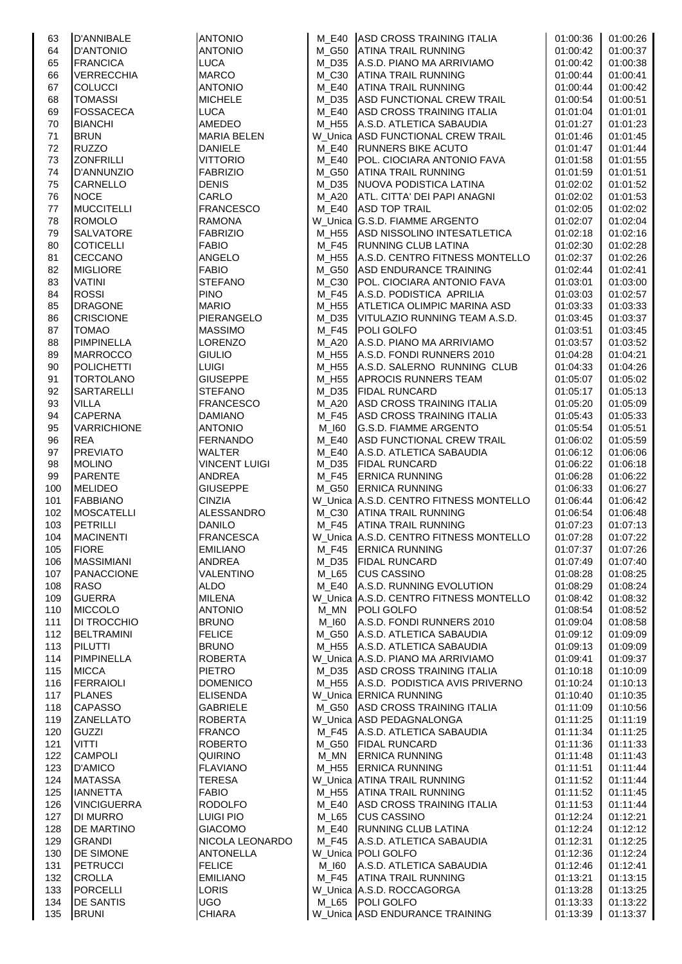| 63  | <b>D'ANNIBALE</b>  | <b>ANTONIO</b>       | M E40   | ASD CROSS TRAINING ITALIA              | 01:00:36 | 01:00:26 |
|-----|--------------------|----------------------|---------|----------------------------------------|----------|----------|
| 64  | <b>D'ANTONIO</b>   | <b>ANTONIO</b>       | M G50   | <b>ATINA TRAIL RUNNING</b>             | 01:00:42 | 01:00:37 |
| 65  | <b>FRANCICA</b>    | <b>LUCA</b>          | M D35   | A.S.D. PIANO MA ARRIVIAMO              | 01:00:42 | 01:00:38 |
| 66  | <b>VERRECCHIA</b>  | <b>MARCO</b>         | $M_C30$ | <b>ATINA TRAIL RUNNING</b>             | 01:00:44 | 01:00:41 |
| 67  | <b>COLUCCI</b>     | <b>ANTONIO</b>       | M E40   | <b>ATINA TRAIL RUNNING</b>             | 01:00:44 | 01:00:42 |
| 68  | <b>TOMASSI</b>     | <b>MICHELE</b>       | M D35   | ASD FUNCTIONAL CREW TRAIL              | 01:00:54 | 01:00:51 |
| 69  | <b>FOSSACECA</b>   | <b>LUCA</b>          | M E40   | <b>ASD CROSS TRAINING ITALIA</b>       | 01:01:04 | 01:01:01 |
| 70  | <b>BIANCHI</b>     | AMEDEO               |         | M H55 A.S.D. ATLETICA SABAUDIA         | 01:01:27 | 01:01:23 |
| 71  | <b>BRUN</b>        | <b>MARIA BELEN</b>   |         | W_Unica ASD FUNCTIONAL CREW TRAIL      | 01:01:46 | 01:01:45 |
| 72  | <b>RUZZO</b>       | <b>DANIELE</b>       | M E40   | <b>RUNNERS BIKE ACUTO</b>              | 01:01:47 | 01:01:44 |
| 73  | <b>ZONFRILLI</b>   | <b>VITTORIO</b>      | M E40   | POL. CIOCIARA ANTONIO FAVA             | 01:01:58 | 01:01:55 |
| 74  | D'ANNUNZIO         | <b>FABRIZIO</b>      | M G50   | <b>ATINA TRAIL RUNNING</b>             | 01:01:59 | 01:01:51 |
| 75  | <b>CARNELLO</b>    | <b>DENIS</b>         | M_D35   | NUOVA PODISTICA LATINA                 | 01:02:02 | 01:01:52 |
| 76  | <b>NOCE</b>        | CARLO                |         | M_A20 ATL. CITTA' DEI PAPI ANAGNI      | 01:02:02 | 01:01:53 |
| 77  | <b>MUCCITELLI</b>  | <b>FRANCESCO</b>     | M_E40   | <b>ASD TOP TRAIL</b>                   | 01:02:05 | 01:02:02 |
| 78  | <b>ROMOLO</b>      | <b>RAMONA</b>        |         | W_Unica G.S.D. FIAMME ARGENTO          | 01:02:07 | 01:02:04 |
| 79  | <b>SALVATORE</b>   | <b>FABRIZIO</b>      | M H55   | ASD NISSOLINO INTESATLETICA            | 01:02:18 | 01:02:16 |
| 80  | <b>COTICELLI</b>   | <b>FABIO</b>         | M F45   | <b>RUNNING CLUB LATINA</b>             | 01:02:30 | 01:02:28 |
| 81  | <b>CECCANO</b>     | ANGELO               | M_H55   | A.S.D. CENTRO FITNESS MONTELLO         | 01:02:37 | 01:02:26 |
| 82  | <b>MIGLIORE</b>    | <b>FABIO</b>         | M G50   | <b>ASD ENDURANCE TRAINING</b>          | 01:02:44 | 01:02:41 |
| 83  | <b>VATINI</b>      | <b>STEFANO</b>       | $M_C30$ | POL. CIOCIARA ANTONIO FAVA             | 01:03:01 | 01:03:00 |
| 84  | <b>ROSSI</b>       | <b>PINO</b>          | M F45   | A.S.D. PODISTICA APRILIA               | 01:03:03 | 01:02:57 |
| 85  | <b>DRAGONE</b>     | <b>MARIO</b>         |         | M H55 ATLETICA OLIMPIC MARINA ASD      | 01:03:33 | 01:03:33 |
| 86  | <b>CRISCIONE</b>   | PIERANGELO           | M D35   | VITULAZIO RUNNING TEAM A.S.D.          | 01:03:45 | 01:03:37 |
| 87  | <b>TOMAO</b>       | <b>MASSIMO</b>       | M F45   | <b>POLI GOLFO</b>                      | 01:03:51 | 01:03:45 |
| 88  | <b>PIMPINELLA</b>  | <b>LORENZO</b>       | M A20   | A.S.D. PIANO MA ARRIVIAMO              | 01:03:57 | 01:03:52 |
| 89  | <b>MARROCCO</b>    | <b>GIULIO</b>        |         | M_H55 A.S.D. FONDI RUNNERS 2010        | 01:04:28 | 01:04:21 |
| 90  | <b>POLICHETTI</b>  | <b>LUIGI</b>         | M_H55   | A.S.D. SALERNO RUNNING CLUB            | 01:04:33 | 01:04:26 |
| 91  | <b>TORTOLANO</b>   | <b>GIUSEPPE</b>      | M H55   | <b>APROCIS RUNNERS TEAM</b>            | 01:05:07 | 01:05:02 |
| 92  | <b>SARTARELLI</b>  | <b>STEFANO</b>       | M D35   | <b>FIDAL RUNCARD</b>                   | 01:05:17 | 01:05:13 |
| 93  | <b>VILLA</b>       | <b>FRANCESCO</b>     | M A20   | ASD CROSS TRAINING ITALIA              | 01:05:20 | 01:05:09 |
| 94  | <b>CAPERNA</b>     | <b>DAMIANO</b>       | M F45   | ASD CROSS TRAINING ITALIA              | 01:05:43 | 01:05:33 |
| 95  | <b>VARRICHIONE</b> | <b>ANTONIO</b>       | M 160   | <b>G.S.D. FIAMME ARGENTO</b>           | 01:05:54 | 01:05:51 |
| 96  | <b>REA</b>         | <b>FERNANDO</b>      | M E40   | ASD FUNCTIONAL CREW TRAIL              | 01:06:02 | 01:05:59 |
| 97  | <b>PREVIATO</b>    | <b>WALTER</b>        | M E40   | A.S.D. ATLETICA SABAUDIA               | 01:06:12 | 01:06:06 |
| 98  | <b>MOLINO</b>      | <b>VINCENT LUIGI</b> |         | M_D35 FIDAL RUNCARD                    | 01:06:22 | 01:06:18 |
| 99  | <b>PARENTE</b>     | <b>ANDREA</b>        | M F45   | <b>ERNICA RUNNING</b>                  | 01:06:28 | 01:06:22 |
| 100 | <b>MELIDEO</b>     | <b>GIUSEPPE</b>      |         | M G50 ERNICA RUNNING                   | 01:06:33 | 01:06:27 |
| 101 | <b>FABBIANO</b>    | <b>CINZIA</b>        |         | W_Unica A.S.D. CENTRO FITNESS MONTELLO | 01:06:44 | 01:06:42 |
| 102 | <b>MOSCATELLI</b>  | <b>ALESSANDRO</b>    |         | M_C30 ATINA TRAIL RUNNING              | 01:06:54 | 01:06:48 |
| 103 | PETRILLI           | <b>DANILO</b>        |         | M_F45 ATINA TRAIL RUNNING              | 01:07:23 | 01:07:13 |
| 104 | <b>MACINENTI</b>   | <b>FRANCESCA</b>     |         | W_Unica A.S.D. CENTRO FITNESS MONTELLO | 01:07:28 | 01:07:22 |
| 105 | <b>FIORE</b>       | <b>EMILIANO</b>      | M_F45   | <b>ERNICA RUNNING</b>                  | 01:07:37 | 01:07:26 |
| 106 | <b>MASSIMIANI</b>  | ANDREA               | M D35   | <b>FIDAL RUNCARD</b>                   | 01:07:49 | 01:07:40 |
| 107 | <b>PANACCIONE</b>  | VALENTINO            | M_L65   | <b>CUS CASSINO</b>                     | 01:08:28 | 01:08:25 |
| 108 | <b>RASO</b>        | <b>ALDO</b>          |         | M_E40 A.S.D. RUNNING EVOLUTION         | 01:08:29 | 01:08:24 |
| 109 | <b>GUERRA</b>      | <b>MILENA</b>        |         | W_Unica A.S.D. CENTRO FITNESS MONTELLO | 01:08:42 | 01:08:32 |
| 110 | <b>MICCOLO</b>     | <b>ANTONIO</b>       | $M_MN$  | <b>POLI GOLFO</b>                      | 01:08:54 | 01:08:52 |
| 111 | <b>DI TROCCHIO</b> | <b>BRUNO</b>         | M 160   | A.S.D. FONDI RUNNERS 2010              | 01:09:04 | 01:08:58 |
| 112 | <b>BELTRAMINI</b>  | <b>FELICE</b>        |         | M_G50 A.S.D. ATLETICA SABAUDIA         | 01:09:12 | 01:09:09 |
| 113 | PILUTTI            | <b>BRUNO</b>         | M H55   | A.S.D. ATLETICA SABAUDIA               | 01:09:13 | 01:09:09 |
| 114 | <b>PIMPINELLA</b>  | <b>ROBERTA</b>       |         | W_Unica A.S.D. PIANO MA ARRIVIAMO      | 01:09:41 | 01:09:37 |
| 115 | <b>MICCA</b>       | <b>PIETRO</b>        |         | M D35 ASD CROSS TRAINING ITALIA        | 01:10:18 | 01:10:09 |
| 116 | <b>FERRAIOLI</b>   | <b>DOMENICO</b>      |         | M_H55 A.S.D. PODISTICA AVIS PRIVERNO   | 01:10:24 | 01:10:13 |
| 117 | <b>PLANES</b>      | <b>ELISENDA</b>      |         | W_Unica ERNICA RUNNING                 | 01:10:40 | 01:10:35 |
| 118 | <b>CAPASSO</b>     | <b>GABRIELE</b>      |         | M_G50 ASD CROSS TRAINING ITALIA        | 01:11:09 | 01:10:56 |
| 119 | ZANELLATO          | <b>ROBERTA</b>       |         | W_Unica ASD PEDAGNALONGA               | 01:11:25 | 01:11:19 |
| 120 | <b>GUZZI</b>       | <b>FRANCO</b>        |         | M_F45 A.S.D. ATLETICA SABAUDIA         | 01:11:34 | 01:11:25 |
| 121 | <b>VITTI</b>       | <b>ROBERTO</b>       |         | M_G50 FIDAL RUNCARD                    | 01:11:36 | 01:11:33 |
| 122 | <b>CAMPOLI</b>     | <b>QUIRINO</b>       | M_MN    | <b>ERNICA RUNNING</b>                  | 01:11:48 | 01:11:43 |
| 123 | <b>D'AMICO</b>     | <b>FLAVIANO</b>      | M_H55   | <b>ERNICA RUNNING</b>                  | 01:11:51 | 01:11:44 |
| 124 | <b>MATASSA</b>     | <b>TERESA</b>        |         | W_Unica ATINA TRAIL RUNNING            | 01:11:52 | 01:11:44 |
| 125 | <b>IANNETTA</b>    | <b>FABIO</b>         | M H55   | <b>ATINA TRAIL RUNNING</b>             | 01:11:52 | 01:11:45 |
| 126 | <b>VINCIGUERRA</b> | <b>RODOLFO</b>       | M_E40   | ASD CROSS TRAINING ITALIA              | 01:11:53 | 01:11:44 |
| 127 | <b>DI MURRO</b>    | <b>LUIGI PIO</b>     | M_L65   | <b>CUS CASSINO</b>                     | 01:12:24 | 01:12:21 |
| 128 | <b>DE MARTINO</b>  | <b>GIACOMO</b>       |         | M_E40 RUNNING CLUB LATINA              | 01:12:24 | 01:12:12 |
| 129 | <b>GRANDI</b>      | NICOLA LEONARDO      | M F45   | A.S.D. ATLETICA SABAUDIA               | 01:12:31 | 01:12:25 |
| 130 | <b>DE SIMONE</b>   | <b>ANTONELLA</b>     |         | W_Unica POLI GOLFO                     | 01:12:36 | 01:12:24 |
| 131 | <b>PETRUCCI</b>    | <b>FELICE</b>        | M_I60   | A.S.D. ATLETICA SABAUDIA               | 01:12:46 | 01:12:41 |
| 132 | <b>CROLLA</b>      | <b>EMILIANO</b>      |         | M F45 ATINA TRAIL RUNNING              | 01:13:21 | 01:13:15 |
| 133 | <b>PORCELLI</b>    | LORIS                |         | W_Unica A.S.D. ROCCAGORGA              | 01:13:28 | 01:13:25 |
| 134 | <b>DE SANTIS</b>   | <b>UGO</b>           |         | M_L65 POLI GOLFO                       | 01:13:33 | 01:13:22 |
| 135 | <b>BRUNI</b>       | <b>CHIARA</b>        |         | W_Unica ASD ENDURANCE TRAINING         | 01:13:39 | 01:13:37 |
|     |                    |                      |         |                                        |          |          |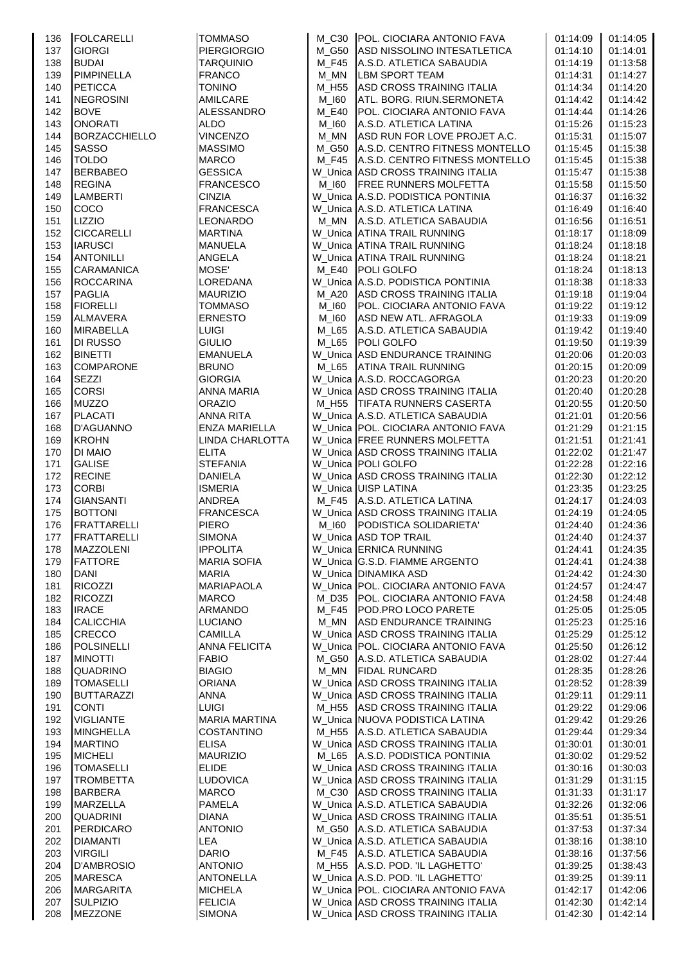| 136        | <b>FOLCARELLI</b>                    | <b>TOMMASO</b>                       |              | M C30 POL. CIOCIARA ANTONIO FAVA                                 | 01:14:09             | 01:14:05             |
|------------|--------------------------------------|--------------------------------------|--------------|------------------------------------------------------------------|----------------------|----------------------|
| 137        | <b>GIORGI</b>                        | <b>PIERGIORGIO</b>                   |              | M_G50 ASD NISSOLINO INTESATLETICA                                | 01:14:10             | 01:14:01             |
| 138        | <b>BUDAI</b>                         | <b>TARQUINIO</b>                     | M F45        | A.S.D. ATLETICA SABAUDIA                                         | 01:14:19             | 01:13:58             |
| 139        | <b>PIMPINELLA</b>                    | <b>FRANCO</b>                        | $M_MN$       | <b>LBM SPORT TEAM</b>                                            | 01:14:31             | 01:14:27             |
| 140        | <b>PETICCA</b>                       | <b>TONINO</b>                        | M_H55        | ASD CROSS TRAINING ITALIA                                        | 01:14:34             | 01:14:20             |
| 141        | <b>NEGROSINI</b>                     | <b>AMILCARE</b>                      | M_I60        | ATL. BORG. RIUN.SERMONETA                                        | 01:14:42             | 01:14:42             |
| 142        | <b>BOVE</b>                          | <b>ALESSANDRO</b>                    | <b>M_E40</b> | POL. CIOCIARA ANTONIO FAVA                                       | 01:14:44             | 01:14:26             |
| 143        | <b>ONORATI</b>                       | ALDO                                 | M 160        | A.S.D. ATLETICA LATINA                                           | 01:15:26             | 01:15:23             |
| 144        | BORZACCHIELLO                        | <b>VINCENZO</b>                      | M_MN         | ASD RUN FOR LOVE PROJET A.C.                                     | 01:15:31             | 01:15:07             |
| 145        | <b>SASSO</b>                         | <b>MASSIMO</b>                       |              | M G50 A.S.D. CENTRO FITNESS MONTELLO                             | 01:15:45             | 01:15:38             |
| 146        | <b>TOLDO</b>                         | <b>MARCO</b>                         |              | M_F45 A.S.D. CENTRO FITNESS MONTELLO                             | 01:15:45             | 01:15:38             |
| 147        | <b>BERBABEO</b>                      | <b>GESSICA</b>                       |              | W Unica ASD CROSS TRAINING ITALIA                                | 01:15:47             | 01:15:38             |
| 148        | <b>REGINA</b>                        | <b>FRANCESCO</b>                     | M 160        | <b>FREE RUNNERS MOLFETTA</b>                                     | 01:15:58             | 01:15:50             |
| 149        | <b>LAMBERTI</b>                      | <b>CINZIA</b>                        |              | W Unica A.S.D. PODISTICA PONTINIA                                | 01:16:37             | 01:16:32             |
| 150        | COCO                                 | <b>FRANCESCA</b>                     |              | W_Unica A.S.D. ATLETICA LATINA                                   | 01:16:49             | 01:16:40             |
| 151        | LIZZIO                               | <b>LEONARDO</b>                      |              | M_MN A.S.D. ATLETICA SABAUDIA                                    | 01:16:56             | 01:16:51             |
| 152        | <b>CICCARELLI</b>                    | <b>MARTINA</b>                       |              | W Unica ATINA TRAIL RUNNING                                      | 01:18:17             | 01:18:09             |
| 153        | <b>IARUSCI</b><br><b>ANTONILLI</b>   | <b>MANUELA</b>                       |              | W_Unica ATINA TRAIL RUNNING                                      | 01:18:24<br>01:18:24 | 01:18:18<br>01:18:21 |
| 154<br>155 | <b>CARAMANICA</b>                    | ANGELA<br>MOSE'                      |              | W_Unica ATINA TRAIL RUNNING<br>M_E40 POLI GOLFO                  | 01:18:24             | 01:18:13             |
| 156        | <b>ROCCARINA</b>                     | LOREDANA                             |              | W_Unica A.S.D. PODISTICA PONTINIA                                | 01:18:38             | 01:18:33             |
| 157        | <b>PAGLIA</b>                        | <b>MAURIZIO</b>                      | M A20        | ASD CROSS TRAINING ITALIA                                        | 01:19:18             | 01:19:04             |
| 158        | <b>FIORELLI</b>                      | <b>TOMMASO</b>                       | M_I60        | POL. CIOCIARA ANTONIO FAVA                                       | 01:19:22             | 01:19:12             |
| 159        | ALMAVERA                             | <b>ERNESTO</b>                       | M_I60        | ASD NEW ATL. AFRAGOLA                                            | 01:19:33             | 01:19:09             |
| 160        | <b>MIRABELLA</b>                     | <b>LUIGI</b>                         |              | M_L65 A.S.D. ATLETICA SABAUDIA                                   | 01:19:42             | 01:19:40             |
| 161        | <b>DI RUSSO</b>                      | <b>GIULIO</b>                        | M L65        | <b>POLI GOLFO</b>                                                | 01:19:50             | 01:19:39             |
| 162        | <b>BINETTI</b>                       | <b>EMANUELA</b>                      |              | W_Unica ASD ENDURANCE TRAINING                                   | 01:20:06             | 01:20:03             |
| 163        | <b>COMPARONE</b>                     | <b>BRUNO</b>                         |              | M L65 ATINA TRAIL RUNNING                                        | 01:20:15             | 01:20:09             |
| 164        | <b>SEZZI</b>                         | <b>GIORGIA</b>                       |              | W_Unica A.S.D. ROCCAGORGA                                        | 01:20:23             | 01:20:20             |
| 165        | <b>CORSI</b>                         | <b>ANNA MARIA</b>                    |              | W_Unica ASD CROSS TRAINING ITALIA                                | 01:20:40             | 01:20:28             |
| 166        | <b>MUZZO</b>                         | <b>ORAZIO</b>                        |              | M_H55   TIFATA RUNNERS CASERTA                                   | 01:20:55             | 01:20:50             |
| 167        | <b>PLACATI</b>                       | <b>ANNA RITA</b>                     |              | W Unica A.S.D. ATLETICA SABAUDIA                                 | 01:21:01             | 01:20:56             |
| 168        | <b>D'AGUANNO</b>                     | ENZA MARIELLA                        |              | W_Unica POL. CIOCIARA ANTONIO FAVA                               | 01:21:29             | 01:21:15             |
| 169        | <b>KROHN</b>                         | LINDA CHARLOTTA                      |              | W_Unica FREE RUNNERS MOLFETTA                                    | 01:21:51             | 01:21:41             |
| 170        | <b>DI MAIO</b>                       | <b>ELITA</b>                         |              | W_Unica ASD CROSS TRAINING ITALIA                                | 01:22:02             | 01:21:47             |
| 171        | <b>GALISE</b>                        | <b>STEFANIA</b>                      |              | W_Unica POLI GOLFO                                               | 01:22:28             | 01:22:16             |
| 172        | <b>RECINE</b>                        | <b>DANIELA</b>                       |              | W_Unica ASD CROSS TRAINING ITALIA                                | 01:22:30             | 01:22:12             |
| 173        | <b>CORBI</b>                         | <b>ISMERIA</b>                       |              | W_Unica UISP LATINA                                              | 01:23:35             | 01:23:25             |
| 174        | <b>GIANSANTI</b>                     | ANDREA                               |              | M F45 A.S.D. ATLETICA LATINA                                     | 01:24:17             | 01:24:03             |
| 175        | <b>BOTTONI</b>                       | <b>FRANCESCA</b>                     |              | W_Unica ASD CROSS TRAINING ITALIA                                | 01:24:19             | 01:24:05             |
| 176        | <b>FRATTARELLI</b>                   | <b>PIERO</b>                         | M 160        | PODISTICA SOLIDARIETA'                                           | 01:24:40             | 01:24:36             |
| 177        | FRATTARELLI                          | <b>SIMONA</b>                        |              | W_Unica ASD TOP TRAIL                                            | 01:24:40             | 01:24:37             |
| 178        | <b>MAZZOLENI</b>                     | <b>IPPOLITA</b>                      |              | W_Unica ERNICA RUNNING                                           | 01:24:41             | 01:24:35             |
| 179        | <b>FATTORE</b>                       | <b>MARIA SOFIA</b>                   |              | W_Unica G.S.D. FIAMME ARGENTO                                    | 01:24:41             | 01:24:38             |
| 180        | <b>DANI</b>                          | <b>MARIA</b>                         |              | W_Unica DINAMIKA ASD                                             | 01:24:42             | 01:24:30             |
| 181        | <b>RICOZZI</b>                       | MARIAPAOLA                           |              | W_Unica POL. CIOCIARA ANTONIO FAVA                               | 01:24:57             | 01:24:47             |
| 182        | <b>RICOZZI</b>                       | <b>MARCO</b>                         | M D35        | POL. CIOCIARA ANTONIO FAVA                                       | 01:24:58             | 01:24:48             |
| 183        | <b>IRACE</b>                         | ARMANDO                              | M_F45        | <b>POD.PRO LOCO PARETE</b>                                       | 01:25:05             | 01:25:05             |
| 184        | <b>CALICCHIA</b>                     | LUCIANO                              | M_MN         | <b>ASD ENDURANCE TRAINING</b>                                    | 01:25:23             | 01:25:16             |
| 185        | <b>CRECCO</b>                        | <b>CAMILLA</b>                       |              | W Unica ASD CROSS TRAINING ITALIA                                | 01:25:29             | 01:25:12             |
| 186        | <b>POLSINELLI</b>                    | <b>ANNA FELICITA</b>                 |              | W_Unica POL. CIOCIARA ANTONIO FAVA                               | 01:25:50             | 01:26:12             |
| 187        | <b>MINOTTI</b>                       | <b>FABIO</b>                         | M_G50        | A.S.D. ATLETICA SABAUDIA                                         | 01:28:02             | 01:27:44             |
| 188        | <b>QUADRINO</b>                      | <b>BIAGIO</b>                        | M_MN         | <b>FIDAL RUNCARD</b>                                             | 01:28:35             | 01:28:26             |
| 189        | <b>TOMASELLI</b>                     | <b>ORIANA</b>                        |              | W_Unica ASD CROSS TRAINING ITALIA                                | 01:28:52             | 01:28:39             |
| 190        | <b>BUTTARAZZI</b>                    | ANNA                                 |              | W_Unica ASD CROSS TRAINING ITALIA                                | 01:29:11             | 01:29:11             |
| 191        | <b>CONTI</b>                         | <b>LUIGI</b><br><b>MARIA MARTINA</b> |              | M H55 ASD CROSS TRAINING ITALIA                                  | 01:29:22             | 01:29:06             |
| 192<br>193 | <b>VIGLIANTE</b><br><b>MINGHELLA</b> | <b>COSTANTINO</b>                    |              | W_Unica NUOVA PODISTICA LATINA<br>M_H55 A.S.D. ATLETICA SABAUDIA | 01:29:42<br>01:29:44 | 01:29:26<br>01:29:34 |
| 194        | <b>MARTINO</b>                       | <b>ELISA</b>                         |              | W Unica ASD CROSS TRAINING ITALIA                                | 01:30:01             | 01:30:01             |
| 195        | <b>MICHELI</b>                       | <b>MAURIZIO</b>                      |              | M L65 A.S.D. PODISTICA PONTINIA                                  | 01:30:02             | 01:29:52             |
| 196        | <b>TOMASELLI</b>                     | <b>ELIDE</b>                         |              | W_Unica ASD CROSS TRAINING ITALIA                                | 01:30:16             | 01:30:03             |
| 197        | <b>TROMBETTA</b>                     | LUDOVICA                             |              | W_Unica ASD CROSS TRAINING ITALIA                                | 01:31:29             | 01:31:15             |
| 198        | <b>BARBERA</b>                       | <b>MARCO</b>                         |              | M_C30 ASD CROSS TRAINING ITALIA                                  | 01:31:33             | 01:31:17             |
| 199        | <b>MARZELLA</b>                      | <b>PAMELA</b>                        |              | W_Unica A.S.D. ATLETICA SABAUDIA                                 | 01:32:26             | 01:32:06             |
| 200        | <b>QUADRINI</b>                      | <b>DIANA</b>                         |              | W_Unica ASD CROSS TRAINING ITALIA                                | 01:35:51             | 01:35:51             |
| 201        | <b>PERDICARO</b>                     | <b>ANTONIO</b>                       |              | M_G50 A.S.D. ATLETICA SABAUDIA                                   | 01:37:53             | 01:37:34             |
| 202        | <b>DIAMANTI</b>                      | LEA                                  |              | W_Unica A.S.D. ATLETICA SABAUDIA                                 | 01:38:16             | 01:38:10             |
| 203        | <b>VIRGILI</b>                       | <b>DARIO</b>                         |              | M_F45 A.S.D. ATLETICA SABAUDIA                                   | 01:38:16             | 01:37:56             |
| 204        | <b>D'AMBROSIO</b>                    | <b>ANTONIO</b>                       |              | M H55 A.S.D. POD. IL LAGHETTO'                                   | 01:39:25             | 01:38:43             |
| 205        | <b>MARESCA</b>                       | <b>ANTONELLA</b>                     |              | W_Unica A.S.D. POD. 'IL LAGHETTO'                                | 01:39:25             | 01:39:11             |
| 206        | <b>MARGARITA</b>                     | <b>MICHELA</b>                       |              | W_Unica POL. CIOCIARA ANTONIO FAVA                               | 01:42:17             | 01:42:06             |
| 207        | <b>SULPIZIO</b>                      | <b>FELICIA</b>                       |              | W_Unica ASD CROSS TRAINING ITALIA                                | 01:42:30             | 01:42:14             |
| 208        | <b>MEZZONE</b>                       | <b>SIMONA</b>                        |              | W_Unica ASD CROSS TRAINING ITALIA                                | 01:42:30             | 01:42:14             |